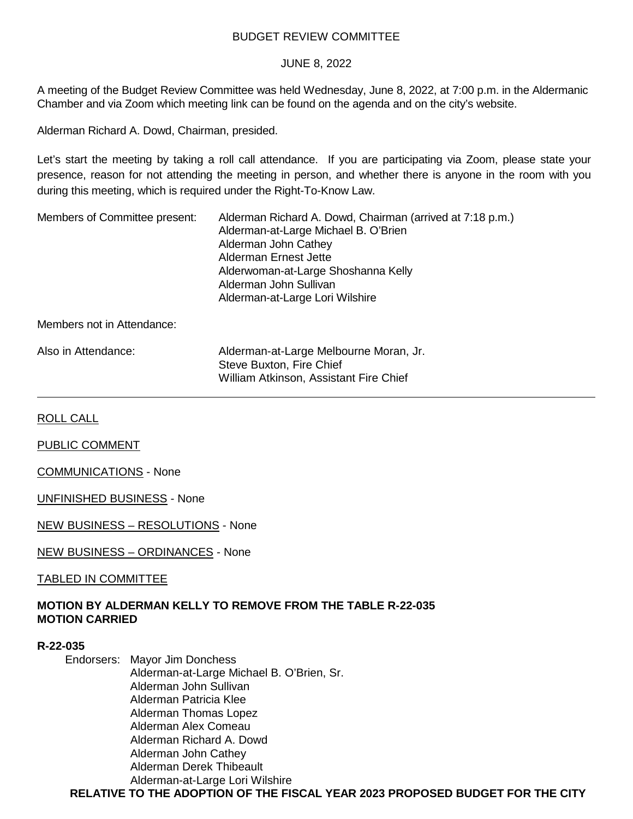## BUDGET REVIEW COMMITTEE

### JUNE 8, 2022

A meeting of the Budget Review Committee was held Wednesday, June 8, 2022, at 7:00 p.m. in the Aldermanic Chamber and via Zoom which meeting link can be found on the agenda and on the city's website.

Alderman Richard A. Dowd, Chairman, presided.

Let's start the meeting by taking a roll call attendance. If you are participating via Zoom, please state your presence, reason for not attending the meeting in person, and whether there is anyone in the room with you during this meeting, which is required under the Right-To-Know Law.

Members of Committee present: Alderman Richard A. Dowd, Chairman (arrived at 7:18 p.m.) Alderman-at-Large Michael B. O'Brien Alderman John Cathey Alderman Ernest Jette Alderwoman-at-Large Shoshanna Kelly Alderman John Sullivan Alderman-at-Large Lori Wilshire

Members not in Attendance:

| Also in Attendance: | Alderman-at-Large Melbourne Moran, Jr. |  |
|---------------------|----------------------------------------|--|
|                     | Steve Buxton, Fire Chief               |  |
|                     | William Atkinson, Assistant Fire Chief |  |

ROLL CALL

PUBLIC COMMENT

COMMUNICATIONS - None

UNFINISHED BUSINESS - None

NEW BUSINESS – RESOLUTIONS - None

NEW BUSINESS – ORDINANCES - None

TABLED IN COMMITTEE

# **MOTION BY ALDERMAN KELLY TO REMOVE FROM THE TABLE R-22-035 MOTION CARRIED**

#### **R-22-035**

Endorsers: Mayor Jim Donchess Alderman-at-Large Michael B. O'Brien, Sr. Alderman John Sullivan Alderman Patricia Klee Alderman Thomas Lopez Alderman Alex Comeau Alderman Richard A. Dowd Alderman John Cathey Alderman Derek Thibeault Alderman-at-Large Lori Wilshire

**RELATIVE TO THE ADOPTION OF THE FISCAL YEAR 2023 PROPOSED BUDGET FOR THE CITY**